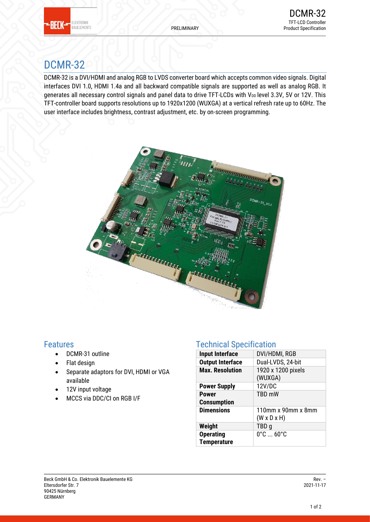

# DCMR-32

DCMR-32 is a DVI/HDMI and analog RGB to LVDS converter board which accepts common video signals. Digital interfaces DVI 1.0, HDMI 1.4a and all backward compatible signals are supported as well as analog RGB. It generates all necessary control signals and panel data to drive TFT-LCDs with V<sub>DD</sub> level 3.3V, 5V or 12V. This TFT-controller board supports resolutions up to 1920x1200 (WUXGA) at a vertical refresh rate up to 60Hz. The user interface includes brightness, contrast adjustment, etc. by on-screen programming.



### Features

- DCMR-31 outline
- Flat design
- Separate adaptors for DVI, HDMI or VGA available
- 12V input voltage
- MCCS via DDC/CI on RGB I/F

# Technical Specification

| <b>Input Interface</b>  | DVI/HDMI, RGB                      |  |
|-------------------------|------------------------------------|--|
| <b>Output Interface</b> | Dual-LVDS, 24-bit                  |  |
| <b>Max. Resolution</b>  | 1920 x 1200 pixels                 |  |
|                         | (WUXGA)                            |  |
| <b>Power Supply</b>     | 12V/DC                             |  |
| <b>Power</b>            | <b>TBD mW</b>                      |  |
| <b>Consumption</b>      |                                    |  |
| <b>Dimensions</b>       | 110mm x 90mm x 8mm                 |  |
|                         | $(W \times D \times H)$            |  |
| Weight                  | TBD <sub>g</sub>                   |  |
| <b>Operating</b>        | $0^\circ$ C $\ldots$ 60 $^\circ$ C |  |
| <b>Temperature</b>      |                                    |  |